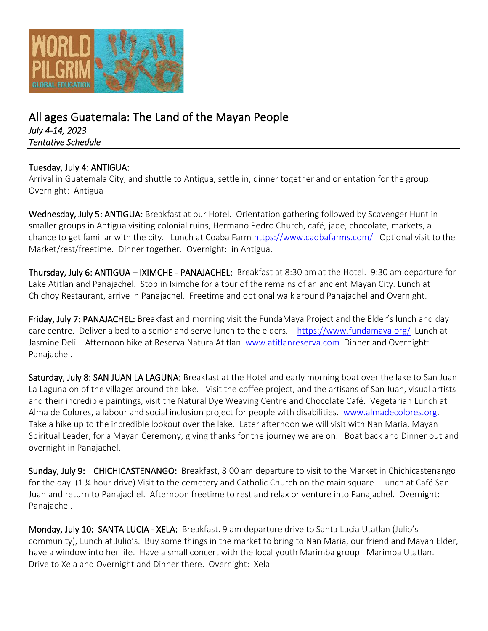

## All ages Guatemala: The Land of the Mayan People *July 4-14, 2023 Tentative Schedule*

## Tuesday, July 4: ANTIGUA:

Arrival in Guatemala City, and shuttle to Antigua, settle in, dinner together and orientation for the group. Overnight: Antigua

Wednesday, July 5: ANTIGUA: Breakfast at our Hotel. Orientation gathering followed by Scavenger Hunt in smaller groups in Antigua visiting colonial ruins, Hermano Pedro Church, café, jade, chocolate, markets, a chance to get familiar with the city. Lunch at Coaba Farm [https://www.caobafarms.com/.](https://www.caobafarms.com/) Optional visit to the Market/rest/freetime. Dinner together. Overnight: in Antigua.

Thursday, July 6: ANTIGUA – IXIMCHE - PANAJACHEL: Breakfast at 8:30 am at the Hotel. 9:30 am departure for Lake Atitlan and Panajachel. Stop in Iximche for a tour of the remains of an ancient Mayan City. Lunch at Chichoy Restaurant, arrive in Panajachel. Freetime and optional walk around Panajachel and Overnight.

Friday, July 7: PANAJACHEL: Breakfast and morning visit the FundaMaya Project and the Elder's lunch and day care centre. Deliver a bed to a senior and serve lunch to the elders. <https://www.fundamaya.org/>Lunch at Jasmine Deli. Afternoon hike at Reserva Natura Atitlan [www.atitlanreserva.com](http://www.atitlanreserva.com/) Dinner and Overnight: Panajachel.

Saturday, July 8: SAN JUAN LA LAGUNA: Breakfast at the Hotel and early morning boat over the lake to San Juan La Laguna on of the villages around the lake. Visit the coffee project, and the artisans of San Juan, visual artists and their incredible paintings, visit the Natural Dye Weaving Centre and Chocolate Café. Vegetarian Lunch at Alma de Colores, a labour and social inclusion project for people with disabilities. [www.almadecolores.org.](http://www.almadecolores.org/) Take a hike up to the incredible lookout over the lake. Later afternoon we will visit with Nan Maria, Mayan Spiritual Leader, for a Mayan Ceremony, giving thanks for the journey we are on. Boat back and Dinner out and overnight in Panajachel.

Sunday, July 9: CHICHICASTENANGO: Breakfast, 8:00 am departure to visit to the Market in Chichicastenango for the day. (1 ¼ hour drive) Visit to the cemetery and Catholic Church on the main square. Lunch at Café San Juan and return to Panajachel. Afternoon freetime to rest and relax or venture into Panajachel. Overnight: Panajachel.

Monday, July 10: SANTA LUCIA - XELA: Breakfast. 9 am departure drive to Santa Lucia Utatlan (Julio's community), Lunch at Julio's. Buy some things in the market to bring to Nan Maria, our friend and Mayan Elder, have a window into her life. Have a small concert with the local youth Marimba group: Marimba Utatlan. Drive to Xela and Overnight and Dinner there. Overnight: Xela.